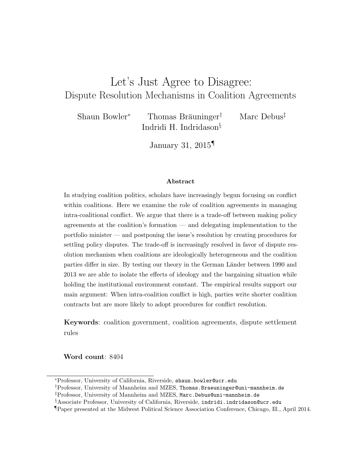# Let's Just Agree to Disagree: Dispute Resolution Mechanisms in Coalition Agreements

Shaun Bowler<sup>∗</sup> Thomas Bräuninger<sup>†</sup> Marc Debus<sup>‡</sup> Indridi H. Indridason§

January 31, 2015¶

#### Abstract

In studying coalition politics, scholars have increasingly begun focusing on conflict within coalitions. Here we examine the role of coalition agreements in managing intra-coalitional conflict. We argue that there is a trade-off between making policy agreements at the coalition's formation — and delegating implementation to the portfolio minister — and postponing the issue's resolution by creating procedures for settling policy disputes. The trade-off is increasingly resolved in favor of dispute resolution mechanism when coalitions are ideologically heterogeneous and the coalition parties differ in size. By testing our theory in the German Länder between 1990 and 2013 we are able to isolate the effects of ideology and the bargaining situation while holding the institutional environment constant. The empirical results support our main argument: When intra-coalition conflict is high, parties write shorter coalition contracts but are more likely to adopt procedures for conflict resolution.

Keywords: coalition government, coalition agreements, dispute settlement rules

Word count: 8404

<sup>∗</sup>Professor, University of California, Riverside, shaun.bowler@ucr.edu

<sup>†</sup>Professor, University of Mannheim and MZES, Thomas.Braeuninger@uni-mannheim.de

<sup>‡</sup>Professor, University of Mannheim and MZES, Marc.Debus@uni-mannheim.de

<sup>§</sup>Associate Professor, University of California, Riverside, indridi.indridason@ucr.edu

<sup>¶</sup>Paper presented at the Midwest Political Science Association Conference, Chicago, Ill., April 2014.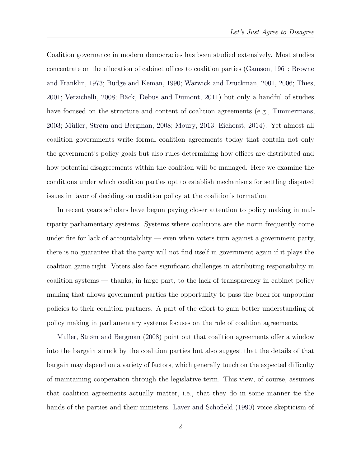Coalition governance in modern democracies has been studied extensively. Most studies concentrate on the allocation of cabinet offices to coalition parties [\(Gamson,](#page-32-0) [1961;](#page-32-0) [Browne](#page-31-0) [and Franklin,](#page-31-0) [1973;](#page-31-0) [Budge and Keman,](#page-31-1) [1990;](#page-31-1) [Warwick and Druckman,](#page-34-0) [2001,](#page-34-0) [2006;](#page-34-1) [Thies,](#page-34-2) [2001;](#page-34-2) [Verzichelli,](#page-34-3) [2008;](#page-34-3) Bäck, Debus and Dumont, [2011\)](#page-31-2) but only a handful of studies have focused on the structure and content of coalition agreements (e.g., [Timmermans,](#page-34-4) [2003;](#page-34-4) Müller, Strøm and Bergman, [2008;](#page-33-0) [Moury,](#page-33-1) [2013;](#page-33-1) [Eichorst,](#page-32-1) [2014\)](#page-32-1). Yet almost all coalition governments write formal coalition agreements today that contain not only the government's policy goals but also rules determining how offices are distributed and how potential disagreements within the coalition will be managed. Here we examine the conditions under which coalition parties opt to establish mechanisms for settling disputed issues in favor of deciding on coalition policy at the coalition's formation.

In recent years scholars have begun paying closer attention to policy making in multiparty parliamentary systems. Systems where coalitions are the norm frequently come under fire for lack of accountability — even when voters turn against a government party, there is no guarantee that the party will not find itself in government again if it plays the coalition game right. Voters also face significant challenges in attributing responsibility in coalition systems — thanks, in large part, to the lack of transparency in cabinet policy making that allows government parties the opportunity to pass the buck for unpopular policies to their coalition partners. A part of the effort to gain better understanding of policy making in parliamentary systems focuses on the role of coalition agreements.

Müller, Strøm and Bergman [\(2008\)](#page-33-0) point out that coalition agreements offer a window into the bargain struck by the coalition parties but also suggest that the details of that bargain may depend on a variety of factors, which generally touch on the expected difficulty of maintaining cooperation through the legislative term. This view, of course, assumes that coalition agreements actually matter, i.e., that they do in some manner tie the hands of the parties and their ministers. [Laver and Schofield](#page-33-2) [\(1990\)](#page-33-2) voice skepticism of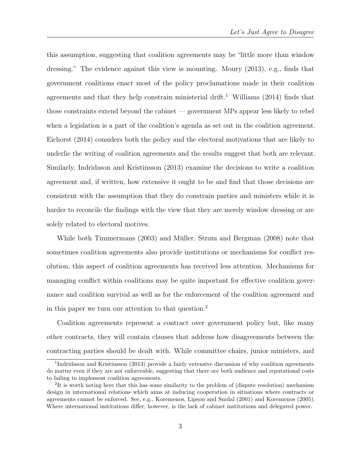this assumption, suggesting that coalition agreements may be "little more than window dressing." The evidence against this view is mounting. [Moury](#page-33-1) [\(2013\)](#page-33-1), e.g., finds that government coalitions enact most of the policy proclamations made in their coalition agreements and that they help constrain ministerial drift.<sup>[1](#page-2-0)</sup> [Williams](#page-34-5) [\(2014\)](#page-34-5) finds that those constraints extend beyond the cabinet — government MPs appear less likely to rebel when a legislation is a part of the coalition's agenda as set out in the coalition agreement. [Eichorst](#page-32-1) [\(2014\)](#page-32-1) considers both the policy and the electoral motivations that are likely to underlie the writing of coalition agreements and the results suggest that both are relevant. Similarly, [Indridason and Kristinsson](#page-32-2) [\(2013\)](#page-32-2) examine the decisions to write a coalition agreement and, if written, how extensive it ought to be and find that those decisions are consistent with the assumption that they do constrain parties and ministers while it is harder to reconcile the findings with the view that they are merely window dressing or are solely related to electoral motives.

While both [Timmermans](#page-34-4)  $(2003)$  and Müller, Strøm and Bergman  $(2008)$  note that sometimes coalition agreements also provide institutions or mechanisms for conflict resolution, this aspect of coalition agreements has received less attention. Mechanisms for managing conflict within coalitions may be quite important for effective coalition governance and coalition survival as well as for the enforcement of the coalition agreement and in this paper we turn our attention to that question.[2](#page-2-1)

Coalition agreements represent a contract over government policy but, like many other contracts, they will contain clauses that address how disagreements between the contracting parties should be dealt with. While committee chairs, junior ministers, and

<span id="page-2-0"></span><sup>&</sup>lt;sup>1</sup>[Indridason and Kristinsson](#page-32-2) [\(2013\)](#page-32-2) provide a fairly extensive discussion of why coalition agreements do matter even if they are not enforceable, suggesting that there are both audience and reputational costs to failing to implement coalition agreements.

<span id="page-2-1"></span><sup>&</sup>lt;sup>2</sup>It is worth noting here that this has some similarity to the problem of (dispute resolution) mechanism design in international relations which aims at inducing cooperation in situations where contracts or agreements cannot be enforced. See, e.g., [Koremenos, Lipson and Snidal](#page-32-3) [\(2001\)](#page-32-3) and [Koremenos](#page-32-4) [\(2005\)](#page-32-4). Where international institutions differ, however, is the lack of cabinet institutions and delegated power.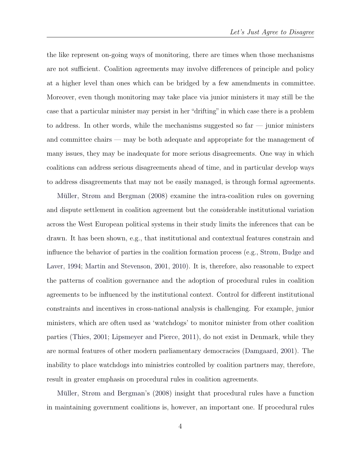the like represent on-going ways of monitoring, there are times when those mechanisms are not sufficient. Coalition agreements may involve differences of principle and policy at a higher level than ones which can be bridged by a few amendments in committee. Moreover, even though monitoring may take place via junior ministers it may still be the case that a particular minister may persist in her "drifting" in which case there is a problem to address. In other words, while the mechanisms suggested so far — junior ministers and committee chairs — may be both adequate and appropriate for the management of many issues, they may be inadequate for more serious disagreements. One way in which coalitions can address serious disagreements ahead of time, and in particular develop ways to address disagreements that may not be easily managed, is through formal agreements.

Müller, Strøm and Bergman  $(2008)$  examine the intra-coalition rules on governing and dispute settlement in coalition agreement but the considerable institutional variation across the West European political systems in their study limits the inferences that can be drawn. It has been shown, e.g., that institutional and contextual features constrain and influence the behavior of parties in the coalition formation process (e.g., [Strøm, Budge and](#page-34-6) [Laver,](#page-34-6) [1994;](#page-34-6) [Martin and Stevenson,](#page-33-3) [2001,](#page-33-3) [2010\)](#page-33-4). It is, therefore, also reasonable to expect the patterns of coalition governance and the adoption of procedural rules in coalition agreements to be influenced by the institutional context. Control for different institutional constraints and incentives in cross-national analysis is challenging. For example, junior ministers, which are often used as 'watchdogs' to monitor minister from other coalition parties [\(Thies,](#page-34-2) [2001;](#page-34-2) [Lipsmeyer and Pierce,](#page-33-5) [2011\)](#page-33-5), do not exist in Denmark, while they are normal features of other modern parliamentary democracies [\(Damgaard,](#page-31-3) [2001\)](#page-31-3). The inability to place watchdogs into ministries controlled by coalition partners may, therefore, result in greater emphasis on procedural rules in coalition agreements.

Müller, Strøm and Bergman's [\(2008\)](#page-33-0) insight that procedural rules have a function in maintaining government coalitions is, however, an important one. If procedural rules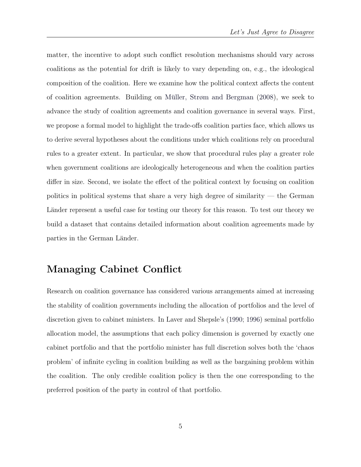matter, the incentive to adopt such conflict resolution mechanisms should vary across coalitions as the potential for drift is likely to vary depending on, e.g., the ideological composition of the coalition. Here we examine how the political context affects the content of coalition agreements. Building on Müller, Strøm and Bergman  $(2008)$ , we seek to advance the study of coalition agreements and coalition governance in several ways. First, we propose a formal model to highlight the trade-offs coalition parties face, which allows us to derive several hypotheses about the conditions under which coalitions rely on procedural rules to a greater extent. In particular, we show that procedural rules play a greater role when government coalitions are ideologically heterogeneous and when the coalition parties differ in size. Second, we isolate the effect of the political context by focusing on coalition politics in political systems that share a very high degree of similarity — the German Länder represent a useful case for testing our theory for this reason. To test our theory we build a dataset that contains detailed information about coalition agreements made by parties in the German Länder.

### Managing Cabinet Conflict

Research on coalition governance has considered various arrangements aimed at increasing the stability of coalition governments including the allocation of portfolios and the level of discretion given to cabinet ministers. In Laver and Shepsle's [\(1990;](#page-32-5) [1996\)](#page-33-6) seminal portfolio allocation model, the assumptions that each policy dimension is governed by exactly one cabinet portfolio and that the portfolio minister has full discretion solves both the 'chaos problem' of infinite cycling in coalition building as well as the bargaining problem within the coalition. The only credible coalition policy is then the one corresponding to the preferred position of the party in control of that portfolio.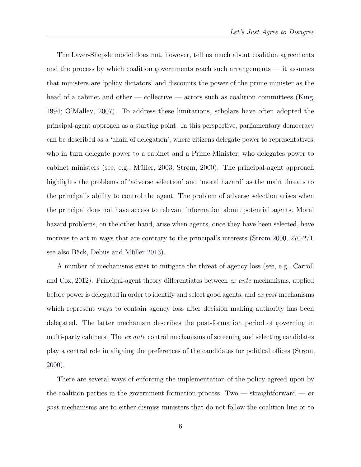The Laver-Shepsle model does not, however, tell us much about coalition agreements and the process by which coalition governments reach such arrangements — it assumes that ministers are 'policy dictators' and discounts the power of the prime minister as the head of a cabinet and other — collective — actors such as coalition committees [\(King,](#page-32-6) [1994;](#page-32-6) [O'Malley,](#page-34-7) [2007\)](#page-34-7). To address these limitations, scholars have often adopted the principal-agent approach as a starting point. In this perspective, parliamentary democracy can be described as a 'chain of delegation', where citizens delegate power to representatives, who in turn delegate power to a cabinet and a Prime Minister, who delegates power to cabinet ministers (see, e.g., Müller, [2003;](#page-33-7) [Strøm,](#page-34-8) [2000\)](#page-34-8). The principal-agent approach highlights the problems of 'adverse selection' and 'moral hazard' as the main threats to the principal's ability to control the agent. The problem of adverse selection arises when the principal does not have access to relevant information about potential agents. Moral hazard problems, on the other hand, arise when agents, once they have been selected, have motives to act in ways that are contrary to the principal's interests [\(Strøm](#page-34-8) [2000,](#page-34-8) 270-271; see also Bäck, Debus and Müller [2013\)](#page-31-4).

A number of mechanisms exist to mitigate the threat of agency loss (see, e.g., [Carroll](#page-31-5) [and Cox,](#page-31-5) [2012\)](#page-31-5). Principal-agent theory differentiates between  $ex$  ante mechanisms, applied before power is delegated in order to identify and select good agents, and ex post mechanisms which represent ways to contain agency loss after decision making authority has been delegated. The latter mechanism describes the post-formation period of governing in multi-party cabinets. The ex ante control mechanisms of screening and selecting candidates play a central role in aligning the preferences of the candidates for political offices [\(Strøm,](#page-34-8) [2000\)](#page-34-8).

There are several ways of enforcing the implementation of the policy agreed upon by the coalition parties in the government formation process. Two — straightforward —  $ex$ post mechanisms are to either dismiss ministers that do not follow the coalition line or to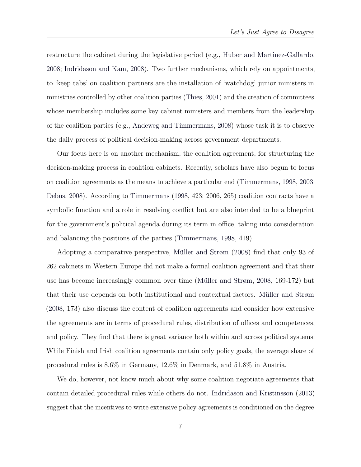restructure the cabinet during the legislative period (e.g., [Huber and Martinez-Gallardo,](#page-32-7) [2008;](#page-32-7) [Indridason and Kam,](#page-32-8) [2008\)](#page-32-8). Two further mechanisms, which rely on appointments, to 'keep tabs' on coalition partners are the installation of 'watchdog' junior ministers in ministries controlled by other coalition parties [\(Thies,](#page-34-2) [2001\)](#page-34-2) and the creation of committees whose membership includes some key cabinet ministers and members from the leadership of the coalition parties (e.g., [Andeweg and Timmermans,](#page-31-6) [2008\)](#page-31-6) whose task it is to observe the daily process of political decision-making across government departments.

Our focus here is on another mechanism, the coalition agreement, for structuring the decision-making process in coalition cabinets. Recently, scholars have also begun to focus on coalition agreements as the means to achieve a particular end [\(Timmermans,](#page-34-9) [1998,](#page-34-9) [2003;](#page-34-4) [Debus,](#page-31-7) [2008\)](#page-31-7). According to [Timmermans](#page-34-9) [\(1998,](#page-34-9) 423; 2006, 265) coalition contracts have a symbolic function and a role in resolving conflict but are also intended to be a blueprint for the government's political agenda during its term in office, taking into consideration and balancing the positions of the parties [\(Timmermans,](#page-34-9) [1998,](#page-34-9) 419).

Adopting a comparative perspective, Müller and Strøm [\(2008\)](#page-34-10) find that only 93 of 262 cabinets in Western Europe did not make a formal coalition agreement and that their use has become increasingly common over time (Müller and Strøm,  $2008$ ,  $169-172$ ) but that their use depends on both institutional and contextual factors. Müller and Strøm [\(2008,](#page-34-10) 173) also discuss the content of coalition agreements and consider how extensive the agreements are in terms of procedural rules, distribution of offices and competences, and policy. They find that there is great variance both within and across political systems: While Finish and Irish coalition agreements contain only policy goals, the average share of procedural rules is 8.6% in Germany, 12.6% in Denmark, and 51.8% in Austria.

We do, however, not know much about why some coalition negotiate agreements that contain detailed procedural rules while others do not. [Indridason and Kristinsson](#page-32-2) [\(2013\)](#page-32-2) suggest that the incentives to write extensive policy agreements is conditioned on the degree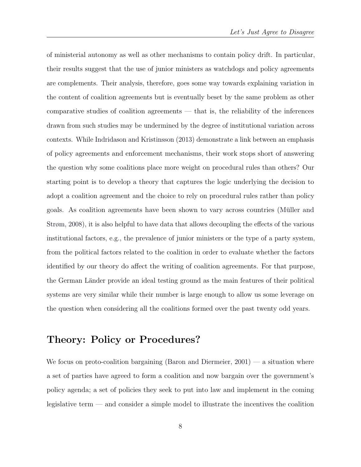of ministerial autonomy as well as other mechanisms to contain policy drift. In particular, their results suggest that the use of junior ministers as watchdogs and policy agreements are complements. Their analysis, therefore, goes some way towards explaining variation in the content of coalition agreements but is eventually beset by the same problem as other comparative studies of coalition agreements — that is, the reliability of the inferences drawn from such studies may be undermined by the degree of institutional variation across contexts. While [Indridason and Kristinsson](#page-32-2) [\(2013\)](#page-32-2) demonstrate a link between an emphasis of policy agreements and enforcement mechanisms, their work stops short of answering the question why some coalitions place more weight on procedural rules than others? Our starting point is to develop a theory that captures the logic underlying the decision to adopt a coalition agreement and the choice to rely on procedural rules rather than policy goals. As coalition agreements have been shown to vary across countries (Müller and [Strøm,](#page-34-10) [2008\)](#page-34-10), it is also helpful to have data that allows decoupling the effects of the various institutional factors, e.g., the prevalence of junior ministers or the type of a party system, from the political factors related to the coalition in order to evaluate whether the factors identified by our theory do affect the writing of coalition agreements. For that purpose, the German Länder provide an ideal testing ground as the main features of their political systems are very similar while their number is large enough to allow us some leverage on the question when considering all the coalitions formed over the past twenty odd years.

## Theory: Policy or Procedures?

We focus on proto-coalition bargaining [\(Baron and Diermeier,](#page-31-8) [2001\)](#page-31-8) — a situation where a set of parties have agreed to form a coalition and now bargain over the government's policy agenda; a set of policies they seek to put into law and implement in the coming legislative term — and consider a simple model to illustrate the incentives the coalition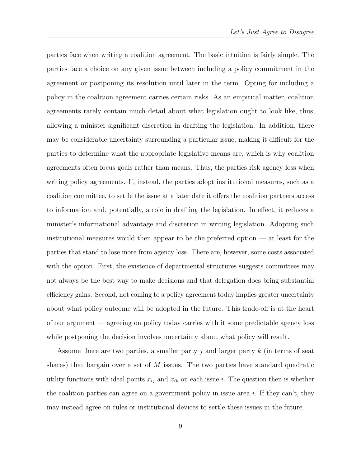parties face when writing a coalition agreement. The basic intuition is fairly simple. The parties face a choice on any given issue between including a policy commitment in the agreement or postponing its resolution until later in the term. Opting for including a policy in the coalition agreement carries certain risks. As an empirical matter, coalition agreements rarely contain much detail about what legislation ought to look like, thus, allowing a minister significant discretion in drafting the legislation. In addition, there may be considerable uncertainty surrounding a particular issue, making it difficult for the parties to determine what the appropriate legislative means are, which is why coalition agreements often focus goals rather than means. Thus, the parties risk agency loss when writing policy agreements. If, instead, the parties adopt institutional measures, such as a coalition committee, to settle the issue at a later date it offers the coalition partners access to information and, potentially, a role in drafting the legislation. In effect, it reduces a minister's informational advantage and discretion in writing legislation. Adopting such institutional measures would then appear to be the preferred option — at least for the parties that stand to lose more from agency loss. There are, however, some costs associated with the option. First, the existence of departmental structures suggests committees may not always be the best way to make decisions and that delegation does bring substantial efficiency gains. Second, not coming to a policy agreement today implies greater uncertainty about what policy outcome will be adopted in the future. This trade-off is at the heart of our argument — agreeing on policy today carries with it some predictable agency loss while postponing the decision involves uncertainty about what policy will result.

Assume there are two parties, a smaller party  $j$  and larger party  $k$  (in terms of seat shares) that bargain over a set of  $M$  issues. The two parties have standard quadratic utility functions with ideal points  $x_{ij}$  and  $x_{ik}$  on each issue i. The question then is whether the coalition parties can agree on a government policy in issue area i. If they can't, they may instead agree on rules or institutional devices to settle these issues in the future.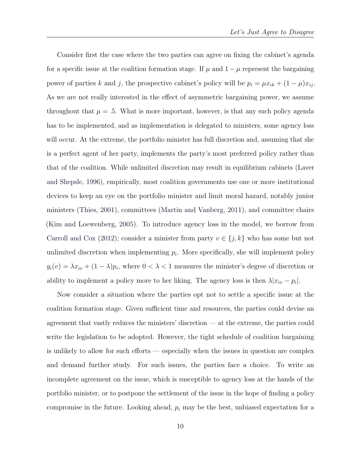Consider first the case where the two parties can agree on fixing the cabinet's agenda for a specific issue at the coalition formation stage. If  $\mu$  and  $1 - \mu$  represent the bargaining power of parties k and j, the prospective cabinet's policy will be  $p_i = \mu x_{ik} + (1 - \mu)x_{ij}$ . As we are not really interested in the effect of asymmetric bargaining power, we assume throughout that  $\mu = .5$ . What is more important, however, is that any such policy agenda has to be implemented, and as implementation is delegated to ministers, some agency loss will occur. At the extreme, the portfolio minister has full discretion and, assuming that she is a perfect agent of her party, implements the party's most preferred policy rather than that of the coalition. While unlimited discretion may result in equilibrium cabinets [\(Laver](#page-33-6) [and Shepsle,](#page-33-6) [1996\)](#page-33-6), empirically, most coalition governments use one or more institutional devices to keep an eye on the portfolio minister and limit moral hazard, notably junior ministers [\(Thies,](#page-34-2) [2001\)](#page-34-2), committees [\(Martin and Vanberg,](#page-33-8) [2011\)](#page-33-8), and committee chairs [\(Kim and Loewenberg,](#page-32-9) [2005\)](#page-32-9). To introduce agency loss in the model, we borrow from [Carroll and Cox](#page-31-5) [\(2012\)](#page-31-5); consider a minister from party  $v \in \{j, k\}$  who has some but not unlimited discretion when implementing  $p_i$ . More specifically, she will implement policy  $y_i(v) = \lambda x_{iv} + (1 - \lambda)p_i$ , where  $0 < \lambda < 1$  measures the minister's degree of discretion or ability to implement a policy more to her liking. The agency loss is then  $\lambda |x_{iv} - p_i|$ .

Now consider a situation where the parties opt not to settle a specific issue at the coalition formation stage. Given sufficient time and resources, the parties could devise an agreement that vastly reduces the ministers' discretion — at the extreme, the parties could write the legislation to be adopted. However, the tight schedule of coalition bargaining is unlikely to allow for such efforts — especially when the issues in question are complex and demand further study. For such issues, the parties face a choice. To write an incomplete agreement on the issue, which is susceptible to agency loss at the hands of the portfolio minister, or to postpone the settlement of the issue in the hope of finding a policy compromise in the future. Looking ahead,  $p_i$  may be the best, unbiased expectation for a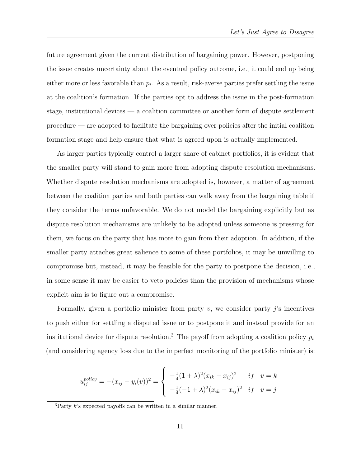future agreement given the current distribution of bargaining power. However, postponing the issue creates uncertainty about the eventual policy outcome, i.e., it could end up being either more or less favorable than  $p_i$ . As a result, risk-averse parties prefer settling the issue at the coalition's formation. If the parties opt to address the issue in the post-formation stage, institutional devices — a coalition committee or another form of dispute settlement procedure — are adopted to facilitate the bargaining over policies after the initial coalition formation stage and help ensure that what is agreed upon is actually implemented.

As larger parties typically control a larger share of cabinet portfolios, it is evident that the smaller party will stand to gain more from adopting dispute resolution mechanisms. Whether dispute resolution mechanisms are adopted is, however, a matter of agreement between the coalition parties and both parties can walk away from the bargaining table if they consider the terms unfavorable. We do not model the bargaining explicitly but as dispute resolution mechanisms are unlikely to be adopted unless someone is pressing for them, we focus on the party that has more to gain from their adoption. In addition, if the smaller party attaches great salience to some of these portfolios, it may be unwilling to compromise but, instead, it may be feasible for the party to postpone the decision, i.e., in some sense it may be easier to veto policies than the provision of mechanisms whose explicit aim is to figure out a compromise.

Formally, given a portfolio minister from party  $v$ , we consider party  $j$ 's incentives to push either for settling a disputed issue or to postpone it and instead provide for an institutional device for dispute resolution.<sup>[3](#page-10-0)</sup> The payoff from adopting a coalition policy  $p_i$ (and considering agency loss due to the imperfect monitoring of the portfolio minister) is:

$$
u_{ij}^{policy} = -(x_{ij} - y_i(v))^2 = \begin{cases} -\frac{1}{4}(1+\lambda)^2(x_{ik} - x_{ij})^2 & if \quad v = k\\ -\frac{1}{4}(-1+\lambda)^2(x_{ik} - x_{ij})^2 & if \quad v = j \end{cases}
$$

<span id="page-10-0"></span> ${}^{3}$ Party k's expected payoffs can be written in a similar manner.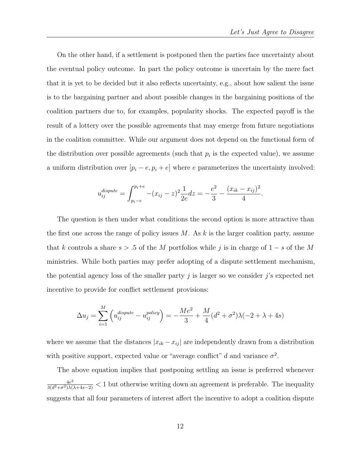On the other hand, if a settlement is postponed then the parties face uncertainty about the eventual policy outcome. In part the policy outcome is uncertain by the mere fact that it is yet to be decided but it also reflects uncertainty, e.g., about how salient the issue is to the bargaining partner and about possible changes in the bargaining positions of the coalition partners due to, for examples, popularity shocks. The expected payoff is the result of a lottery over the possible agreements that may emerge from future negotiations in the coalition committee. While our argument does not depend on the functional form of the distribution over possible agreements (such that  $p_i$  is the expected value), we assume a uniform distribution over  $[p_i - e, p_i + e]$  where e parameterizes the uncertainty involved:

$$
u_{ij}^{dispute} = \int_{p_i - e}^{p_i + e} -(x_{ij} - z)^2 \frac{1}{2e} dz = -\frac{e^2}{3} - \frac{(x_{ik} - x_{ij})^2}{4}.
$$

The question is then under what conditions the second option is more attractive than the first one across the range of policy issues  $M$ . As k is the larger coalition party, assume that k controls a share  $s > .5$  of the M portfolios while j is in charge of  $1 - s$  of the M ministries. While both parties may prefer adopting of a dispute settlement mechanism, the potential agency loss of the smaller party  $j$  is larger so we consider  $j$ 's expected net incentive to provide for conflict settlement provisions:

$$
\Delta u_j = \sum_{i=1}^M \left( u_{ij}^{dispute} - u_{ij}^{policy} \right) = -\frac{Me^2}{3} + \frac{M}{4} (d^2 + \sigma^2) \lambda (-2 + \lambda + 4s)
$$

where we assume that the distances  $|x_{ik} - x_{ij}|$  are independently drawn from a distribution with positive support, expected value or "average conflict" d and variance  $\sigma^2$ .

The above equation implies that postponing settling an issue is preferred whenever  $4e^2$  $\frac{4e^2}{3(d^2+\sigma^2)\lambda(\lambda+4s-2)} < 1$  but otherwise writing down an agreement is preferable. The inequality suggests that all four parameters of interest affect the incentive to adopt a coalition dispute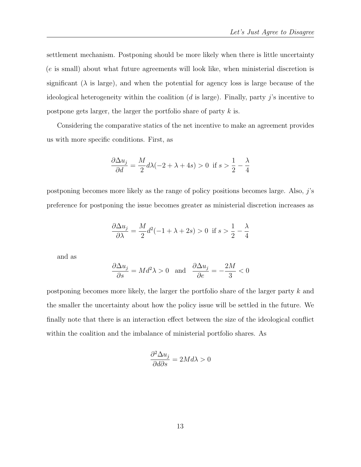settlement mechanism. Postponing should be more likely when there is little uncertainty (e is small) about what future agreements will look like, when ministerial discretion is significant  $(\lambda)$  is large), and when the potential for agency loss is large because of the ideological heterogeneity within the coalition  $(d \text{ is large})$ . Finally, party j's incentive to postpone gets larger, the larger the portfolio share of party k is.

Considering the comparative statics of the net incentive to make an agreement provides us with more specific conditions. First, as

$$
\frac{\partial \Delta u_j}{\partial d} = \frac{M}{2} d\lambda (-2 + \lambda + 4s) > 0 \text{ if } s > \frac{1}{2} - \frac{\lambda}{4}
$$

postponing becomes more likely as the range of policy positions becomes large. Also,  $j$ 's preference for postponing the issue becomes greater as ministerial discretion increases as

$$
\frac{\partial \Delta u_j}{\partial \lambda} = \frac{M}{2}d^2(-1 + \lambda + 2s) > 0 \text{ if } s > \frac{1}{2} - \frac{\lambda}{4}
$$

and as

$$
\frac{\partial \Delta u_j}{\partial s} = Md^2\lambda > 0 \text{ and } \frac{\partial \Delta u_j}{\partial e} = -\frac{2M}{3} < 0
$$

postponing becomes more likely, the larger the portfolio share of the larger party k and the smaller the uncertainty about how the policy issue will be settled in the future. We finally note that there is an interaction effect between the size of the ideological conflict within the coalition and the imbalance of ministerial portfolio shares. As

$$
\frac{\partial^2 \Delta u_j}{\partial d\partial s} = 2Md\lambda > 0
$$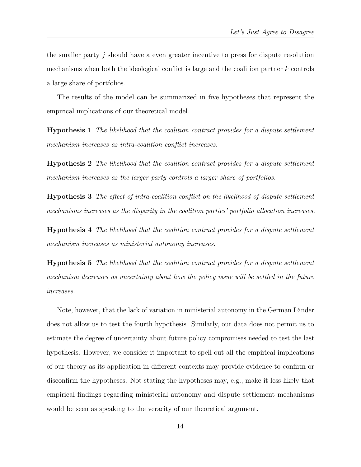the smaller party  $j$  should have a even greater incentive to press for dispute resolution mechanisms when both the ideological conflict is large and the coalition partner  $k$  controls a large share of portfolios.

The results of the model can be summarized in five hypotheses that represent the empirical implications of our theoretical model.

Hypothesis 1 The likelihood that the coalition contract provides for a dispute settlement mechanism increases as intra-coalition conflict increases.

Hypothesis 2 The likelihood that the coalition contract provides for a dispute settlement mechanism increases as the larger party controls a larger share of portfolios.

<span id="page-13-0"></span>Hypothesis 3 The effect of intra-coalition conflict on the likelihood of dispute settlement mechanisms increases as the disparity in the coalition parties' portfolio allocation increases.

Hypothesis 4 The likelihood that the coalition contract provides for a dispute settlement mechanism increases as ministerial autonomy increases.

Hypothesis 5 The likelihood that the coalition contract provides for a dispute settlement mechanism decreases as uncertainty about how the policy issue will be settled in the future increases.

Note, however, that the lack of variation in ministerial autonomy in the German Länder does not allow us to test the fourth hypothesis. Similarly, our data does not permit us to estimate the degree of uncertainty about future policy compromises needed to test the last hypothesis. However, we consider it important to spell out all the empirical implications of our theory as its application in different contexts may provide evidence to confirm or disconfirm the hypotheses. Not stating the hypotheses may, e.g., make it less likely that empirical findings regarding ministerial autonomy and dispute settlement mechanisms would be seen as speaking to the veracity of our theoretical argument.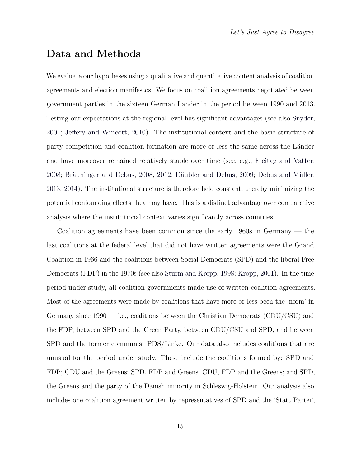## Data and Methods

We evaluate our hypotheses using a qualitative and quantitative content analysis of coalition agreements and election manifestos. We focus on coalition agreements negotiated between government parties in the sixteen German L¨ander in the period between 1990 and 2013. Testing our expectations at the regional level has significant advantages (see also [Snyder,](#page-34-11) [2001;](#page-34-11) [Jeffery and Wincott,](#page-32-10) [2010\)](#page-32-10). The institutional context and the basic structure of party competition and coalition formation are more or less the same across the Länder and have moreover remained relatively stable over time (see, e.g., [Freitag and Vatter,](#page-32-11) [2008;](#page-32-11) Bräuninger and Debus, [2008,](#page-31-9) [2012;](#page-31-10) Däubler and Debus, [2009;](#page-31-11) Debus and Müller, [2013,](#page-31-12) [2014\)](#page-32-12). The institutional structure is therefore held constant, thereby minimizing the potential confounding effects they may have. This is a distinct advantage over comparative analysis where the institutional context varies significantly across countries.

Coalition agreements have been common since the early 1960s in Germany — the last coalitions at the federal level that did not have written agreements were the Grand Coalition in 1966 and the coalitions between Social Democrats (SPD) and the liberal Free Democrats (FDP) in the 1970s (see also [Sturm and Kropp,](#page-34-12) [1998;](#page-34-12) [Kropp,](#page-32-13) [2001\)](#page-32-13). In the time period under study, all coalition governments made use of written coalition agreements. Most of the agreements were made by coalitions that have more or less been the 'norm' in Germany since  $1990 - i.e.,$  coalitions between the Christian Democrats (CDU/CSU) and the FDP, between SPD and the Green Party, between CDU/CSU and SPD, and between SPD and the former communist PDS/Linke. Our data also includes coalitions that are unusual for the period under study. These include the coalitions formed by: SPD and FDP; CDU and the Greens; SPD, FDP and Greens; CDU, FDP and the Greens; and SPD, the Greens and the party of the Danish minority in Schleswig-Holstein. Our analysis also includes one coalition agreement written by representatives of SPD and the 'Statt Partei',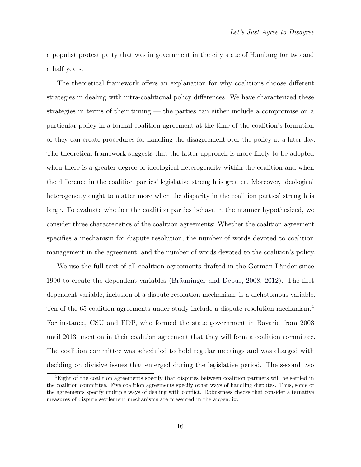a populist protest party that was in government in the city state of Hamburg for two and a half years.

The theoretical framework offers an explanation for why coalitions choose different strategies in dealing with intra-coalitional policy differences. We have characterized these strategies in terms of their timing — the parties can either include a compromise on a particular policy in a formal coalition agreement at the time of the coalition's formation or they can create procedures for handling the disagreement over the policy at a later day. The theoretical framework suggests that the latter approach is more likely to be adopted when there is a greater degree of ideological heterogeneity within the coalition and when the difference in the coalition parties' legislative strength is greater. Moreover, ideological heterogeneity ought to matter more when the disparity in the coalition parties' strength is large. To evaluate whether the coalition parties behave in the manner hypothesized, we consider three characteristics of the coalition agreements: Whether the coalition agreement specifies a mechanism for dispute resolution, the number of words devoted to coalition management in the agreement, and the number of words devoted to the coalition's policy.

We use the full text of all coalition agreements drafted in the German Länder since 1990 to create the dependent variables (Bräuninger and Debus, [2008,](#page-31-9) [2012\)](#page-31-10). The first dependent variable, inclusion of a dispute resolution mechanism, is a dichotomous variable. Ten of the 65 coalition agreements under study include a dispute resolution mechanism.<sup>[4](#page-15-0)</sup> For instance, CSU and FDP, who formed the state government in Bavaria from 2008 until 2013, mention in their coalition agreement that they will form a coalition committee. The coalition committee was scheduled to hold regular meetings and was charged with deciding on divisive issues that emerged during the legislative period. The second two

<span id="page-15-0"></span><sup>4</sup>Eight of the coalition agreements specify that disputes between coalition partners will be settled in the coalition committee. Five coalition agreements specify other ways of handling disputes. Thus, some of the agreements specify multiple ways of dealing with conflict. Robustness checks that consider alternative measures of dispute settlement mechanisms are presented in the appendix.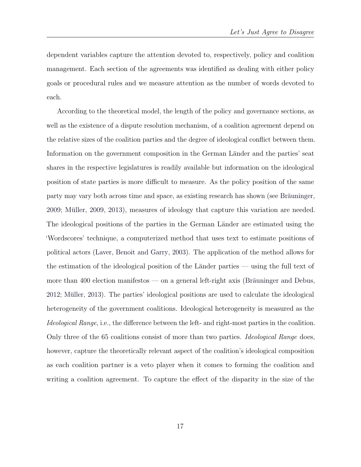dependent variables capture the attention devoted to, respectively, policy and coalition management. Each section of the agreements was identified as dealing with either policy goals or procedural rules and we measure attention as the number of words devoted to each.

According to the theoretical model, the length of the policy and governance sections, as well as the existence of a dispute resolution mechanism, of a coalition agreement depend on the relative sizes of the coalition parties and the degree of ideological conflict between them. Information on the government composition in the German Länder and the parties' seat shares in the respective legislatures is readily available but information on the ideological position of state parties is more difficult to measure. As the policy position of the same party may vary both across time and space, as existing research has shown (see Bräuninger, [2009;](#page-31-13) Müller, [2009,](#page-33-9) [2013\)](#page-33-10), measures of ideology that capture this variation are needed. The ideological positions of the parties in the German Länder are estimated using the 'Wordscores' technique, a computerized method that uses text to estimate positions of political actors [\(Laver, Benoit and Garry,](#page-33-11) [2003\)](#page-33-11). The application of the method allows for the estimation of the ideological position of the Länder parties — using the full text of more than 400 election manifestos — on a general left-right axis (Bräuninger and Debus,  $2012$ ; Müller,  $2013$ ). The parties' ideological positions are used to calculate the ideological heterogeneity of the government coalitions. Ideological heterogeneity is measured as the Ideological Range, i.e., the difference between the left- and right-most parties in the coalition. Only three of the 65 coalitions consist of more than two parties. *Ideological Range* does, however, capture the theoretically relevant aspect of the coalition's ideological composition as each coalition partner is a veto player when it comes to forming the coalition and writing a coalition agreement. To capture the effect of the disparity in the size of the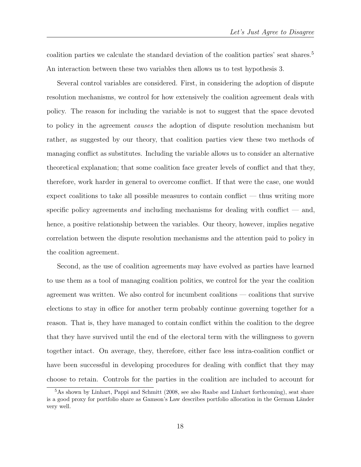coalition parties we calculate the standard deviation of the coalition parties' seat shares.<sup>[5](#page-17-0)</sup> An interaction between these two variables then allows us to test hypothesis [3.](#page-13-0)

Several control variables are considered. First, in considering the adoption of dispute resolution mechanisms, we control for how extensively the coalition agreement deals with policy. The reason for including the variable is not to suggest that the space devoted to policy in the agreement causes the adoption of dispute resolution mechanism but rather, as suggested by our theory, that coalition parties view these two methods of managing conflict as substitutes. Including the variable allows us to consider an alternative theoretical explanation; that some coalition face greater levels of conflict and that they, therefore, work harder in general to overcome conflict. If that were the case, one would expect coalitions to take all possible measures to contain conflict — thus writing more specific policy agreements and including mechanisms for dealing with conflict  $-$  and, hence, a positive relationship between the variables. Our theory, however, implies negative correlation between the dispute resolution mechanisms and the attention paid to policy in the coalition agreement.

Second, as the use of coalition agreements may have evolved as parties have learned to use them as a tool of managing coalition politics, we control for the year the coalition agreement was written. We also control for incumbent coalitions — coalitions that survive elections to stay in office for another term probably continue governing together for a reason. That is, they have managed to contain conflict within the coalition to the degree that they have survived until the end of the electoral term with the willingness to govern together intact. On average, they, therefore, either face less intra-coalition conflict or have been successful in developing procedures for dealing with conflict that they may choose to retain. Controls for the parties in the coalition are included to account for

<span id="page-17-0"></span><sup>5</sup>As shown by [Linhart, Pappi and Schmitt](#page-33-12) [\(2008,](#page-33-12) see also [Raabe and Linhart](#page-34-13) [forthcoming\)](#page-34-13), seat share is a good proxy for portfolio share as Gamson's Law describes portfolio allocation in the German Länder very well.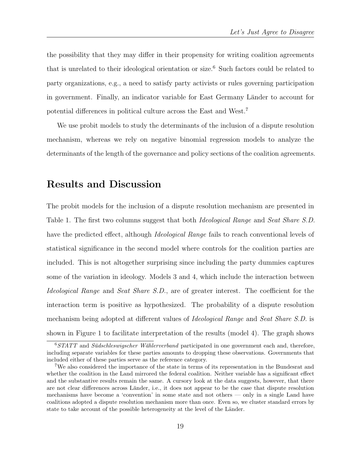the possibility that they may differ in their propensity for writing coalition agreements that is unrelated to their ideological orientation or size.[6](#page-18-0) Such factors could be related to party organizations, e.g., a need to satisfy party activists or rules governing participation in government. Finally, an indicator variable for East Germany Länder to account for potential differences in political culture across the East and West.[7](#page-18-1)

We use probit models to study the determinants of the inclusion of a dispute resolution mechanism, whereas we rely on negative binomial regression models to analyze the determinants of the length of the governance and policy sections of the coalition agreements.

### Results and Discussion

The probit models for the inclusion of a dispute resolution mechanism are presented in Table [1.](#page-20-0) The first two columns suggest that both *Ideological Range* and *Seat Share S.D.* have the predicted effect, although *Ideological Range* fails to reach conventional levels of statistical significance in the second model where controls for the coalition parties are included. This is not altogether surprising since including the party dummies captures some of the variation in ideology. Models 3 and 4, which include the interaction between Ideological Range and Seat Share S.D., are of greater interest. The coefficient for the interaction term is positive as hypothesized. The probability of a dispute resolution mechanism being adopted at different values of *Ideological Range* and *Seat Share S.D.* is shown in Figure [1](#page-21-0) to facilitate interpretation of the results (model 4). The graph shows

<span id="page-18-0"></span> $6$ STATT and Südschleswigscher Wählerverband participated in one government each and, therefore, including separate variables for these parties amounts to dropping these observations. Governments that included either of these parties serve as the reference category.

<span id="page-18-1"></span><sup>7</sup>We also considered the importance of the state in terms of its representation in the Bundesrat and whether the coalition in the Land mirrored the federal coalition. Neither variable has a significant effect and the substantive results remain the same. A cursory look at the data suggests, however, that there are not clear differences across Länder, i.e., it does not appear to be the case that dispute resolution mechanisms have become a 'convention' in some state and not others — only in a single Land have coalitions adopted a dispute resolution mechanism more than once. Even so, we cluster standard errors by state to take account of the possible heterogeneity at the level of the Länder.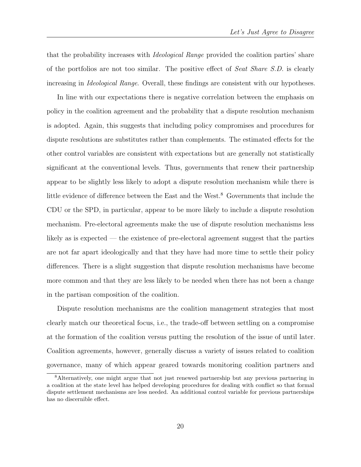that the probability increases with Ideological Range provided the coalition parties' share of the portfolios are not too similar. The positive effect of Seat Share S.D. is clearly increasing in *Ideological Range*. Overall, these findings are consistent with our hypotheses.

In line with our expectations there is negative correlation between the emphasis on policy in the coalition agreement and the probability that a dispute resolution mechanism is adopted. Again, this suggests that including policy compromises and procedures for dispute resolutions are substitutes rather than complements. The estimated effects for the other control variables are consistent with expectations but are generally not statistically significant at the conventional levels. Thus, governments that renew their partnership appear to be slightly less likely to adopt a dispute resolution mechanism while there is little evidence of difference between the East and the West.<sup>[8](#page-19-0)</sup> Governments that include the CDU or the SPD, in particular, appear to be more likely to include a dispute resolution mechanism. Pre-electoral agreements make the use of dispute resolution mechanisms less likely as is expected — the existence of pre-electoral agreement suggest that the parties are not far apart ideologically and that they have had more time to settle their policy differences. There is a slight suggestion that dispute resolution mechanisms have become more common and that they are less likely to be needed when there has not been a change in the partisan composition of the coalition.

Dispute resolution mechanisms are the coalition management strategies that most clearly match our theoretical focus, i.e., the trade-off between settling on a compromise at the formation of the coalition versus putting the resolution of the issue of until later. Coalition agreements, however, generally discuss a variety of issues related to coalition governance, many of which appear geared towards monitoring coalition partners and

<span id="page-19-0"></span><sup>8</sup>Alternatively, one might argue that not just renewed partnership but any previous partnering in a coalition at the state level has helped developing procedures for dealing with conflict so that formal dispute settlement mechanisms are less needed. An additional control variable for previous partnerships has no discernible effect.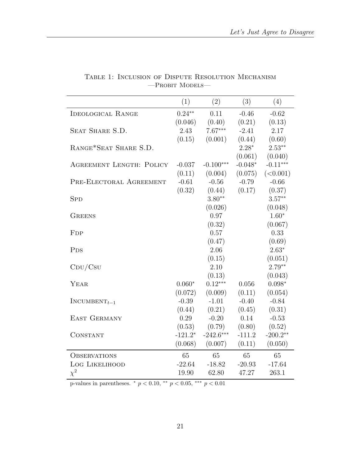<span id="page-20-0"></span>

|                                 | (1)       | (2)         | (3)       | (4)        |
|---------------------------------|-----------|-------------|-----------|------------|
| <b>IDEOLOGICAL RANGE</b>        | $0.24***$ | 0.11        | $-0.46$   | $-0.62$    |
|                                 | (0.046)   | (0.40)      | (0.21)    | (0.13)     |
| SEAT SHARE S.D.                 | 2.43      | $7.67***$   | $-2.41$   | 2.17       |
|                                 | (0.15)    | (0.001)     | (0.44)    | (0.60)     |
| RANGE*SEAT SHARE S.D.           |           |             | $2.28*$   | $2.53***$  |
|                                 |           |             | (0.061)   | (0.040)    |
| <b>AGREEMENT LENGTH: POLICY</b> | $-0.037$  | $-0.100***$ | $-0.048*$ | $-0.11***$ |
|                                 | (0.11)    | (0.004)     | (0.075)   | (<0.001)   |
| PRE-ELECTORAL AGREEMENT         | $-0.61$   | $-0.56$     | $-0.79$   | $-0.66$    |
|                                 | (0.32)    | (0.44)      | (0.17)    | (0.37)     |
| <b>SPD</b>                      |           | $3.80**$    |           | $3.57**$   |
|                                 |           | (0.026)     |           | (0.048)    |
| <b>GREENS</b>                   |           | 0.97        |           | $1.60*$    |
|                                 |           | (0.32)      |           | (0.067)    |
| F <sub>DP</sub>                 |           | 0.57        |           | 0.33       |
|                                 |           | (0.47)      |           | (0.69)     |
| P <sub>DS</sub>                 |           | 2.06        |           | $2.63*$    |
|                                 |           | (0.15)      |           | (0.051)    |
| $\mathrm{CDU}/\mathrm{Csu}$     |           | 2.10        |           | $2.79**$   |
|                                 |           | (0.13)      |           | (0.043)    |
| YEAR                            | $0.060*$  | $0.12***$   | 0.056     | $0.098*$   |
|                                 | (0.072)   | (0.009)     | (0.11)    | (0.054)    |
| $INCUMBENT_{t-1}$               | $-0.39$   | $-1.01$     | $-0.40$   | $-0.84$    |
|                                 | (0.44)    | (0.21)      | (0.45)    | (0.31)     |
| <b>EAST GERMANY</b>             | 0.29      | $-0.20$     | 0.14      | $-0.53$    |
|                                 | (0.53)    | (0.79)      | (0.80)    | (0.52)     |
| <b>CONSTANT</b>                 | $-121.2*$ | $-242.6***$ | $-111.2$  | $-200.2**$ |
|                                 | (0.068)   | (0.007)     | (0.11)    | (0.050)    |
| <b>OBSERVATIONS</b>             | 65        | 65          | 65        | 65         |
| <b>LOG LIKELIHOOD</b>           | $-22.64$  | $-18.82$    | $-20.93$  | $-17.64$   |
| $\chi^2$                        | 19.90     | 62.80       | 47.27     | 263.1      |

Table 1: Inclusion of Dispute Resolution Mechanism  $-$  Probit Models  $-$ 

p-values in parentheses.  $*$   $p < 0.10$ ,  $**$   $p < 0.05$ ,  $**$   $p < 0.01$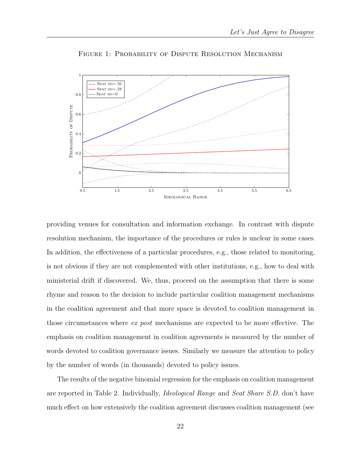<span id="page-21-0"></span>

FIGURE 1: PROBABILITY OF DISPUTE RESOLUTION MECHANISM

providing venues for consultation and information exchange. In contrast with dispute resolution mechanism, the importance of the procedures or rules is unclear in some cases. In addition, the effectiveness of a particular procedures, e.g., those related to monitoring, is not obvious if they are not complemented with other institutions, e.g., how to deal with ministerial drift if discovered. We, thus, proceed on the assumption that there is some rhyme and reason to the decision to include particular coalition management mechanisms in the coalition agreement and that more space is devoted to coalition management in those circumstances where ex post mechanisms are expected to be more effective. The emphasis on coalition management in coalition agreements is measured by the number of words devoted to coalition governance issues. Similarly we measure the attention to policy by the number of words (in thousands) devoted to policy issues.

The results of the negative binomial regression for the emphasis on coalition management are reported in Table [2.](#page-22-0) Individually, Ideological Range and Seat Share S.D. don't have much effect on how extensively the coalition agreement discusses coalition management (see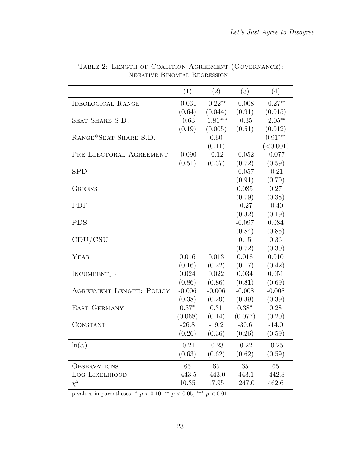|                                 | (1)      | (2)        | (3)      | (4)       |
|---------------------------------|----------|------------|----------|-----------|
| <b>IDEOLOGICAL RANGE</b>        | $-0.031$ | $-0.22**$  | $-0.008$ | $-0.27**$ |
|                                 | (0.64)   | (0.044)    | (0.91)   | (0.015)   |
| SEAT SHARE S.D.                 | $-0.63$  | $-1.81***$ | $-0.35$  | $-2.05**$ |
|                                 | (0.19)   | (0.005)    | (0.51)   | (0.012)   |
| RANGE*SEAT SHARE S.D.           |          | 0.60       |          | $0.91***$ |
|                                 |          | (0.11)     |          | (<0.001)  |
| PRE-ELECTORAL AGREEMENT         | $-0.090$ | $-0.12$    | $-0.052$ | $-0.077$  |
|                                 | (0.51)   | (0.37)     | (0.72)   | (0.59)    |
| <b>SPD</b>                      |          |            | $-0.057$ | $-0.21$   |
|                                 |          |            | (0.91)   | (0.70)    |
| <b>GREENS</b>                   |          |            | 0.085    | 0.27      |
|                                 |          |            | (0.79)   | (0.38)    |
| <b>FDP</b>                      |          |            | $-0.27$  | $-0.40$   |
|                                 |          |            | (0.32)   | (0.19)    |
| <b>PDS</b>                      |          |            | $-0.097$ | 0.084     |
|                                 |          |            | (0.84)   | (0.85)    |
| CDU/CSU                         |          |            | 0.15     | 0.36      |
|                                 |          |            | (0.72)   | (0.30)    |
| YEAR                            | 0.016    | 0.013      | 0.018    | 0.010     |
|                                 | (0.16)   | (0.22)     | (0.17)   | (0.42)    |
| $INCUMBENT_{t-1}$               | 0.024    | 0.022      | 0.034    | 0.051     |
|                                 | (0.86)   | (0.86)     | (0.81)   | (0.69)    |
| <b>AGREEMENT LENGTH: POLICY</b> | $-0.006$ | $-0.006$   | $-0.008$ | $-0.008$  |
|                                 | (0.38)   | (0.29)     | (0.39)   | (0.39)    |
| EAST GERMANY                    | $0.37*$  | 0.31       | $0.38*$  | 0.28      |
|                                 | (0.068)  | (0.14)     | (0.077)  | (0.20)    |
| CONSTANT                        | $-26.8$  | $-19.2$    | $-30.6$  | $-14.0$   |
|                                 | (0.26)   | (0.36)     | (0.26)   | (0.59)    |
| $\ln(\alpha)$                   | $-0.21$  | $-0.23$    | $-0.22$  | $-0.25$   |
|                                 | (0.63)   | (0.62)     | (0.62)   | (0.59)    |
| <b>OBSERVATIONS</b>             | 65       | 65         | 65       | 65        |
| <b>LOG LIKELIHOOD</b>           | $-443.5$ | $-443.0$   | $-443.1$ | $-442.3$  |
| $\chi^2$                        | 10.35    | 17.95      | 1247.0   | 462.6     |
|                                 |          |            |          |           |

<span id="page-22-0"></span>Table 2: Length of Coalition Agreement (Governance): —Negative Binomial Regression—

p-values in parentheses. \* $p < 0.10,$  \*\*  $p < 0.05,$  \*\*\*  $p < 0.01$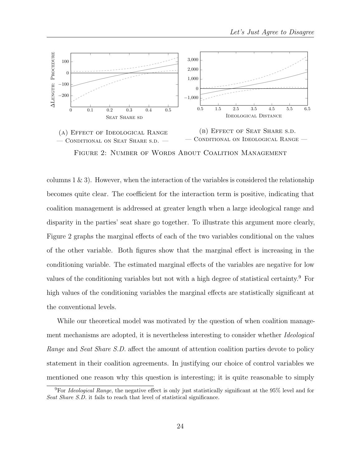<span id="page-23-0"></span>

FIGURE 2: NUMBER OF WORDS ABOUT COALITION MANAGEMENT

columns  $1 \& 3$ . However, when the interaction of the variables is considered the relationship becomes quite clear. The coefficient for the interaction term is positive, indicating that coalition management is addressed at greater length when a large ideological range and disparity in the parties' seat share go together. To illustrate this argument more clearly, Figure [2](#page-23-0) graphs the marginal effects of each of the two variables conditional on the values of the other variable. Both figures show that the marginal effect is increasing in the conditioning variable. The estimated marginal effects of the variables are negative for low values of the conditioning variables but not with a high degree of statistical certainty.[9](#page-23-1) For high values of the conditioning variables the marginal effects are statistically significant at the conventional levels.

While our theoretical model was motivated by the question of when coalition management mechanisms are adopted, it is nevertheless interesting to consider whether *Ideological* Range and Seat Share S.D. affect the amount of attention coalition parties devote to policy statement in their coalition agreements. In justifying our choice of control variables we mentioned one reason why this question is interesting; it is quite reasonable to simply

<span id="page-23-1"></span><sup>9</sup>For Ideological Range, the negative effect is only just statistically significant at the 95% level and for Seat Share S.D. it fails to reach that level of statistical significance.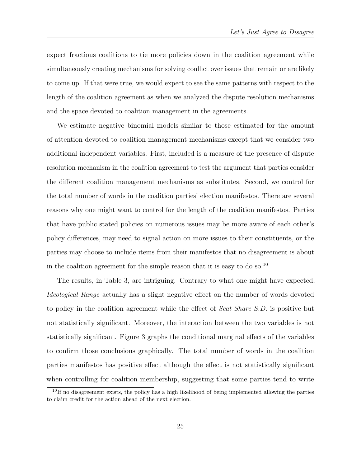expect fractious coalitions to tie more policies down in the coalition agreement while simultaneously creating mechanisms for solving conflict over issues that remain or are likely to come up. If that were true, we would expect to see the same patterns with respect to the length of the coalition agreement as when we analyzed the dispute resolution mechanisms and the space devoted to coalition management in the agreements.

We estimate negative binomial models similar to those estimated for the amount of attention devoted to coalition management mechanisms except that we consider two additional independent variables. First, included is a measure of the presence of dispute resolution mechanism in the coalition agreement to test the argument that parties consider the different coalition management mechanisms as substitutes. Second, we control for the total number of words in the coalition parties' election manifestos. There are several reasons why one might want to control for the length of the coalition manifestos. Parties that have public stated policies on numerous issues may be more aware of each other's policy differences, may need to signal action on more issues to their constituents, or the parties may choose to include items from their manifestos that no disagreement is about in the coalition agreement for the simple reason that it is easy to do so.<sup>[10](#page-24-0)</sup>

The results, in Table [3,](#page-25-0) are intriguing. Contrary to what one might have expected, Ideological Range actually has a slight negative effect on the number of words devoted to policy in the coalition agreement while the effect of *Seat Share S.D.* is positive but not statistically significant. Moreover, the interaction between the two variables is not statistically significant. Figure [3](#page-26-0) graphs the conditional marginal effects of the variables to confirm those conclusions graphically. The total number of words in the coalition parties manifestos has positive effect although the effect is not statistically significant when controlling for coalition membership, suggesting that some parties tend to write

<span id="page-24-0"></span> $10$ If no disagreement exists, the policy has a high likelihood of being implemented allowing the parties to claim credit for the action ahead of the next election.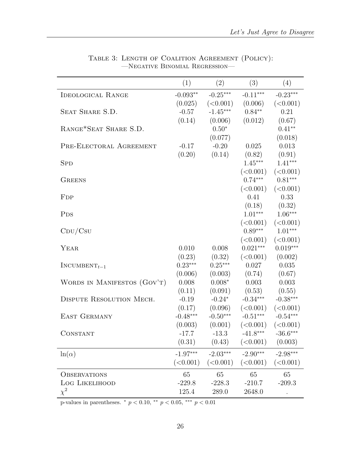<span id="page-25-0"></span>

|                                 | (1)        | (2)        | (3)        | (4)        |
|---------------------------------|------------|------------|------------|------------|
| <b>IDEOLOGICAL RANGE</b>        | $-0.093**$ | $-0.25***$ | $-0.11***$ | $-0.23***$ |
|                                 | (0.025)    | (<0.001)   | (0.006)    | (<0.001)   |
| SEAT SHARE S.D.                 | $-0.57$    | $-1.45***$ | $0.84***$  | 0.21       |
|                                 | (0.14)     | (0.006)    | (0.012)    | (0.67)     |
| RANGE*SEAT SHARE S.D.           |            | $0.50*$    |            | $0.41**$   |
|                                 |            | (0.077)    |            | (0.018)    |
| PRE-ELECTORAL AGREEMENT         | $-0.17$    | $-0.20$    | 0.025      | 0.013      |
|                                 | (0.20)     | (0.14)     | (0.82)     | (0.91)     |
| <b>SPD</b>                      |            |            | $1.45***$  | $1.41***$  |
|                                 |            |            | (<0.001)   | (<0.001)   |
| <b>GREENS</b>                   |            |            | $0.74***$  | $0.81***$  |
|                                 |            |            | (<0.001)   | (<0.001)   |
| F <sub>DP</sub>                 |            |            | 0.41       | 0.33       |
|                                 |            |            | (0.18)     | (0.32)     |
| <b>PDS</b>                      |            |            | $1.01***$  | $1.06***$  |
|                                 |            |            | (<0.001)   | (<0.001)   |
| $\mathrm{CDU} / \mathrm{Csu}$   |            |            | $0.89***$  | $1.01***$  |
|                                 |            |            | (<0.001)   | (<0.001)   |
| YEAR                            | 0.010      | 0.008      | $0.021***$ | $0.019***$ |
|                                 | (0.23)     | (0.32)     | (<0.001)   | (0.002)    |
| $INCUMBENT_{t-1}$               | $0.23***$  | $0.25***$  | 0.027      | 0.035      |
|                                 | (0.006)    | (0.003)    | (0.74)     | (0.67)     |
| WORDS IN MANIFESTOS (GOV'T)     | 0.008      | $0.008*$   | 0.003      | 0.003      |
|                                 | (0.11)     | (0.091)    | (0.53)     | (0.55)     |
| <b>DISPUTE RESOLUTION MECH.</b> | $-0.19$    | $-0.24*$   | $-0.34***$ | $-0.38***$ |
|                                 | (0.17)     | (0.096)    | (<0.001)   | (<0.001)   |
| <b>EAST GERMANY</b>             | $-0.48***$ | $-0.50***$ | $-0.51***$ | $-0.54***$ |
|                                 | (0.003)    | (0.001)    | (<0.001)   | (<0.001)   |
| CONSTANT                        | $-17.7$    | $-13.3$    | $-41.8***$ | $-36.6***$ |
|                                 | (0.31)     | (0.43)     | (<0.001)   | (0.003)    |
| $\ln(\alpha)$                   | $-1.97***$ | $-2.03***$ | $-2.90***$ | $-2.98***$ |
|                                 | (<0.001)   | (<0.001)   | (<0.001)   | (<0.001)   |
| <b>OBSERVATIONS</b>             | 65         | 65         | 65         | 65         |
| LOG LIKELIHOOD                  | $-229.8$   | $-228.3$   | $-210.7$   | $-209.3$   |
| $\chi^2$                        | 125.4      | 289.0      | 2648.0     |            |

Table 3: Length of Coalition Agreement (Policy): —Negative Binomial Regression—

p-values in parentheses.  $*$   $p < 0.10$ ,  $**$   $p < 0.05$ ,  $***$   $p < 0.01$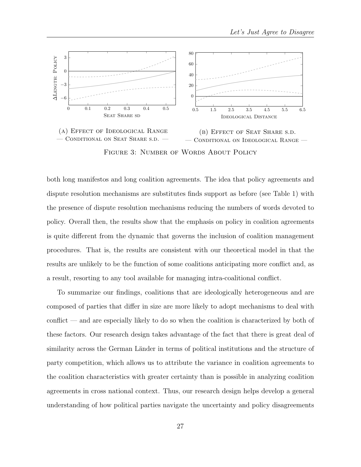<span id="page-26-0"></span>

both long manifestos and long coalition agreements. The idea that policy agreements and dispute resolution mechanisms are substitutes finds support as before (see Table [1\)](#page-20-0) with the presence of dispute resolution mechanisms reducing the numbers of words devoted to policy. Overall then, the results show that the emphasis on policy in coalition agreements is quite different from the dynamic that governs the inclusion of coalition management procedures. That is, the results are consistent with our theoretical model in that the results are unlikely to be the function of some coalitions anticipating more conflict and, as a result, resorting to any tool available for managing intra-coalitional conflict.

To summarize our findings, coalitions that are ideologically heterogeneous and are composed of parties that differ in size are more likely to adopt mechanisms to deal with conflict — and are especially likely to do so when the coalition is characterized by both of these factors. Our research design takes advantage of the fact that there is great deal of similarity across the German Länder in terms of political institutions and the structure of party competition, which allows us to attribute the variance in coalition agreements to the coalition characteristics with greater certainty than is possible in analyzing coalition agreements in cross national context. Thus, our research design helps develop a general understanding of how political parties navigate the uncertainty and policy disagreements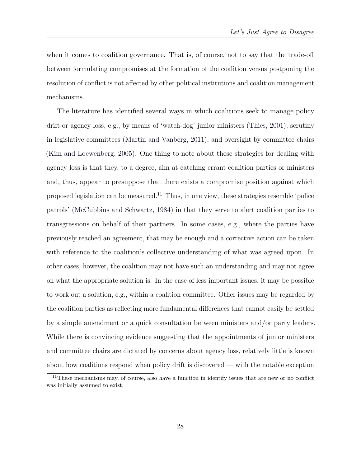when it comes to coalition governance. That is, of course, not to say that the trade-off between formulating compromises at the formation of the coalition versus postponing the resolution of conflict is not affected by other political institutions and coalition management mechanisms.

The literature has identified several ways in which coalitions seek to manage policy drift or agency loss, e.g., by means of 'watch-dog' junior ministers [\(Thies,](#page-34-2) [2001\)](#page-34-2), scrutiny in legislative committees [\(Martin and Vanberg,](#page-33-8) [2011\)](#page-33-8), and oversight by committee chairs [\(Kim and Loewenberg,](#page-32-9) [2005\)](#page-32-9). One thing to note about these strategies for dealing with agency loss is that they, to a degree, aim at catching errant coalition parties or ministers and, thus, appear to presuppose that there exists a compromise position against which proposed legislation can be measured.<sup>[11](#page-27-0)</sup> Thus, in one view, these strategies resemble 'police patrols' [\(McCubbins and Schwartz,](#page-33-13) [1984\)](#page-33-13) in that they serve to alert coalition parties to transgressions on behalf of their partners. In some cases, e.g., where the parties have previously reached an agreement, that may be enough and a corrective action can be taken with reference to the coalition's collective understanding of what was agreed upon. In other cases, however, the coalition may not have such an understanding and may not agree on what the appropriate solution is. In the case of less important issues, it may be possible to work out a solution, e.g., within a coalition committee. Other issues may be regarded by the coalition parties as reflecting more fundamental differences that cannot easily be settled by a simple amendment or a quick consultation between ministers and/or party leaders. While there is convincing evidence suggesting that the appointments of junior ministers and committee chairs are dictated by concerns about agency loss, relatively little is known about how coalitions respond when policy drift is discovered — with the notable exception

<span id="page-27-0"></span><sup>&</sup>lt;sup>11</sup>These mechanisms may, of course, also have a function in identify issues that are new or no conflict was initially assumed to exist.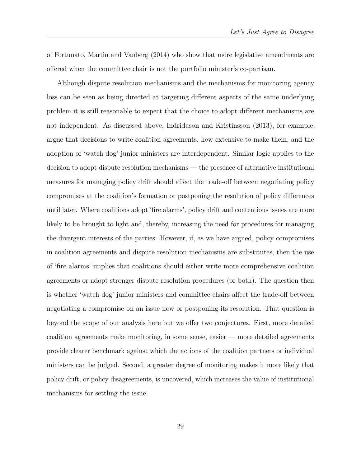of [Fortunato, Martin and Vanberg](#page-32-14) [\(2014\)](#page-32-14) who show that more legislative amendments are offered when the committee chair is not the portfolio minister's co-partisan.

Although dispute resolution mechanisms and the mechanisms for monitoring agency loss can be seen as being directed at targeting different aspects of the same underlying problem it is still reasonable to expect that the choice to adopt different mechanisms are not independent. As discussed above, [Indridason and Kristinsson](#page-32-2) [\(2013\)](#page-32-2), for example, argue that decisions to write coalition agreements, how extensive to make them, and the adoption of 'watch dog' junior ministers are interdependent. Similar logic applies to the decision to adopt dispute resolution mechanisms — the presence of alternative institutional measures for managing policy drift should affect the trade-off between negotiating policy compromises at the coalition's formation or postponing the resolution of policy differences until later. Where coalitions adopt 'fire alarms', policy drift and contentious issues are more likely to be brought to light and, thereby, increasing the need for procedures for managing the divergent interests of the parties. However, if, as we have argued, policy compromises in coalition agreements and dispute resolution mechanisms are substitutes, then the use of 'fire alarms' implies that coalitions should either write more comprehensive coalition agreements or adopt stronger dispute resolution procedures (or both). The question then is whether 'watch dog' junior ministers and committee chairs affect the trade-off between negotiating a compromise on an issue now or postponing its resolution. That question is beyond the scope of our analysis here but we offer two conjectures. First, more detailed coalition agreements make monitoring, in some sense, easier — more detailed agreements provide clearer benchmark against which the actions of the coalition partners or individual ministers can be judged. Second, a greater degree of monitoring makes it more likely that policy drift, or policy disagreements, is uncovered, which increases the value of institutional mechanisms for settling the issue.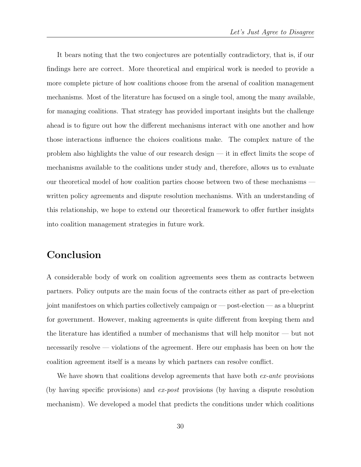It bears noting that the two conjectures are potentially contradictory, that is, if our findings here are correct. More theoretical and empirical work is needed to provide a more complete picture of how coalitions choose from the arsenal of coalition management mechanisms. Most of the literature has focused on a single tool, among the many available, for managing coalitions. That strategy has provided important insights but the challenge ahead is to figure out how the different mechanisms interact with one another and how those interactions influence the choices coalitions make. The complex nature of the problem also highlights the value of our research design — it in effect limits the scope of mechanisms available to the coalitions under study and, therefore, allows us to evaluate our theoretical model of how coalition parties choose between two of these mechanisms written policy agreements and dispute resolution mechanisms. With an understanding of this relationship, we hope to extend our theoretical framework to offer further insights into coalition management strategies in future work.

# Conclusion

A considerable body of work on coalition agreements sees them as contracts between partners. Policy outputs are the main focus of the contracts either as part of pre-election joint manifestoes on which parties collectively campaign or — post-election — as a blueprint for government. However, making agreements is quite different from keeping them and the literature has identified a number of mechanisms that will help monitor — but not necessarily resolve — violations of the agreement. Here our emphasis has been on how the coalition agreement itself is a means by which partners can resolve conflict.

We have shown that coalitions develop agreements that have both  $ex$ -ante provisions (by having specific provisions) and ex-post provisions (by having a dispute resolution mechanism). We developed a model that predicts the conditions under which coalitions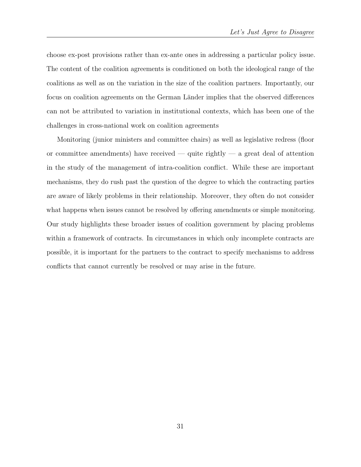choose ex-post provisions rather than ex-ante ones in addressing a particular policy issue. The content of the coalition agreements is conditioned on both the ideological range of the coalitions as well as on the variation in the size of the coalition partners. Importantly, our focus on coalition agreements on the German Länder implies that the observed differences can not be attributed to variation in institutional contexts, which has been one of the challenges in cross-national work on coalition agreements

Monitoring (junior ministers and committee chairs) as well as legislative redress (floor or committee amendments) have received — quite rightly — a great deal of attention in the study of the management of intra-coalition conflict. While these are important mechanisms, they do rush past the question of the degree to which the contracting parties are aware of likely problems in their relationship. Moreover, they often do not consider what happens when issues cannot be resolved by offering amendments or simple monitoring. Our study highlights these broader issues of coalition government by placing problems within a framework of contracts. In circumstances in which only incomplete contracts are possible, it is important for the partners to the contract to specify mechanisms to address conflicts that cannot currently be resolved or may arise in the future.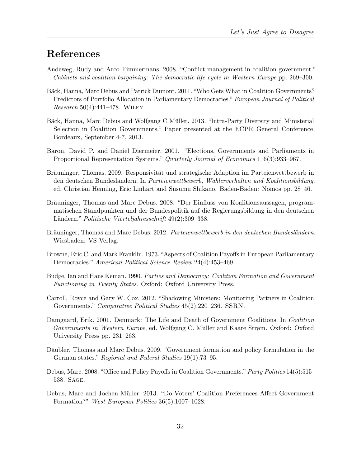# References

- <span id="page-31-6"></span>Andeweg, Rudy and Arco Timmermans. 2008. "Conflict management in coalition government." Cabinets and coalition bargaining: The democratic life cycle in Western Europe pp. 269–300.
- <span id="page-31-2"></span>Bäck, Hanna, Marc Debus and Patrick Dumont. 2011. "Who Gets What in Coalition Governments? Predictors of Portfolio Allocation in Parliamentary Democracies." European Journal of Political Research 50(4):441–478. [Wiley](http://onlinelibrary.wiley.com/doi/10.1111/j.1475-6765.2010.01980.x/abstract).
- <span id="page-31-4"></span>Bäck, Hanna, Marc Debus and Wolfgang C Müller. 2013. "Intra-Party Diversity and Ministerial Selection in Coalition Governments." Paper presented at the ECPR General Conference, Bordeaux, September 4-7, 2013.
- <span id="page-31-8"></span>Baron, David P. and Daniel Diermeier. 2001. "Elections, Governments and Parliaments in Proportional Representation Systems." Quarterly Journal of Economics 116(3):933–967.
- <span id="page-31-13"></span>Bräuninger, Thomas. 2009. Responsivität und strategische Adaption im Parteienwettbewerb in den deutschen Bundesländern. In Parteienwettbewerb, Wählerverhalten und Koalitionsbildung, ed. Christian Henning, Eric Linhart and Susumu Shikano. Baden-Baden: Nomos pp. 28–46.
- <span id="page-31-9"></span>Bräuninger, Thomas and Marc Debus. 2008. "Der Einfluss von Koalitionsaussagen, programmatischen Standpunkten und der Bundespolitik auf die Regierungsbildung in den deutschen Ländern." Politische Vierteljahresschrift 49(2):309–338.
- <span id="page-31-10"></span>Bräuninger, Thomas and Marc Debus. 2012. Parteienwettbewerb in den deutschen Bundesländern. Wiesbaden: VS Verlag.
- <span id="page-31-0"></span>Browne, Eric C. and Mark Franklin. 1973. "Aspects of Coalition Payoffs in European Parliamentary Democracies." American Political Science Review 24(4):453–469.
- <span id="page-31-1"></span>Budge, Ian and Hans Keman. 1990. Parties and Democracy: Coalition Formation and Government Functioning in Twenty States. Oxford: Oxford University Press.
- <span id="page-31-5"></span>Carroll, Royce and Gary W. Cox. 2012. "Shadowing Ministers: Monitoring Partners in Coalition Governments." Comparative Political Studies 45(2):220–236. [SSRN](http://papers.ssrn.com/sol3/papers.cfm?abstract_id=1157615).
- <span id="page-31-3"></span>Damgaard, Erik. 2001. Denmark: The Life and Death of Government Coalitions. In Coalition Governments in Western Europe, ed. Wolfgang C. Müller and Kaare Strøm. Oxford: Oxford University Press pp. 231–263.
- <span id="page-31-11"></span>Däubler, Thomas and Marc Debus. 2009. "Government formation and policy formulation in the German states." Regional and Federal Studies 19(1):73–95.
- <span id="page-31-7"></span>Debus, Marc. 2008. "Office and Policy Payoffs in Coalition Governments." Party Politics 14(5):515– 538. [Sage](http://dx.doi.org/doi:10.1177/1354068807088121).
- <span id="page-31-12"></span>Debus, Marc and Jochen Müller. 2013. "Do Voters' Coalition Preferences Affect Government Formation?" West European Politics 36(5):1007–1028.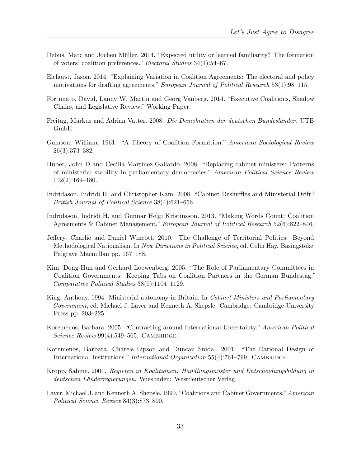- <span id="page-32-12"></span>Debus, Marc and Jochen Müller. 2014. "Expected utility or learned familiarity? The formation of voters' coalition preferences." Electoral Studies 34(1):54–67.
- <span id="page-32-1"></span>Eichorst, Jason. 2014. "Explaining Variation in Coalition Agreements: The electoral and policy motivations for drafting agreements." European Journal of Political Research 53(1):98–115.
- <span id="page-32-14"></span>Fortunato, David, Lanny W. Martin and Georg Vanberg. 2014. "Executive Coalitions, Shadow Chairs, and Legislative Review." Working Paper.
- <span id="page-32-11"></span>Freitag, Markus and Adrian Vatter. 2008. Die Demokratien der deutschen Bundesländer. UTB GmbH.
- <span id="page-32-0"></span>Gamson, William. 1961. "A Theory of Coalition Formation." American Sociological Review 26(3):373–382.
- <span id="page-32-7"></span>Huber, John D and Cecilia Martinez-Gallardo. 2008. "Replacing cabinet ministers: Patterns of ministerial stability in parliamentary democracies." American Political Science Review 102(2):169–180.
- <span id="page-32-8"></span>Indridason, Indridi H. and Christopher Kam. 2008. "Cabinet Reshuffles and Ministerial Drift." British Journal of Political Science 38(4):621–656.
- <span id="page-32-2"></span>Indridason, Indridi H. and Gunnar Helgi Kristinsson. 2013. "Making Words Count: Coalition Agreements & Cabinet Management." European Journal of Political Research 52(6):822–846.
- <span id="page-32-10"></span>Jeffery, Charlie and Daniel Wincott. 2010. The Challenge of Territorial Politics: Beyond Methodological Nationalism. In New Directions in Political Science, ed. Colin Hay. Basingstoke: Palgrave Macmillan pp. 167–188.
- <span id="page-32-9"></span>Kim, Dong-Hun and Gerhard Loewenberg. 2005. "The Role of Parliamentary Committees in Coalition Governments: Keeping Tabs on Coalition Partners in the German Bundestag." Comparative Political Studies 38(9):1104–1129.
- <span id="page-32-6"></span>King, Anthony. 1994. Ministerial autonomy in Britain. In Cabinet Ministers and Parliamentary Government, ed. Michael J. Laver and Kenneth A. Shepsle. Cambridge: Cambridge University Press pp. 203–225.
- <span id="page-32-4"></span>Koremenos, Barbara. 2005. "Contracting around International Uncertainty." American Political Science Review  $99(4):549-565$ . CAMBRIDGE.
- <span id="page-32-3"></span>Koremenos, Barbara, Charels Lipson and Duncan Snidal. 2001. "The Rational Design of International Institutions." *International Organization* 55(4):761–799. CAMBRIDGE.
- <span id="page-32-13"></span>Kropp, Sabine. 2001. Regieren in Koalitionen: Handlungsmuster und Entscheidungsbildung in deutschen Länderregierungen. Wiesbaden: Westdeutscher Verlag.
- <span id="page-32-5"></span>Laver, Michael J. and Kenneth A. Shepsle. 1990. "Coalitions and Cabinet Governments." American Political Science Review 84(3):873–890.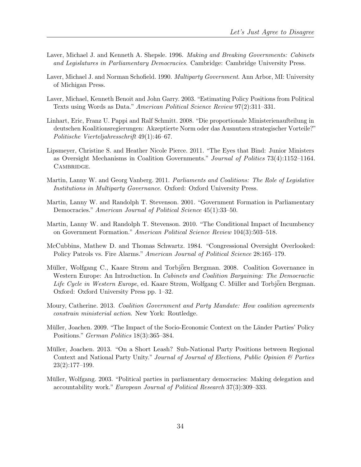- <span id="page-33-6"></span>Laver, Michael J. and Kenneth A. Shepsle. 1996. Making and Breaking Governments: Cabinets and Legislatures in Parliamentary Democracies. Cambridge: Cambridge University Press.
- <span id="page-33-2"></span>Laver, Michael J. and Norman Schofield. 1990. *Multiparty Government*. Ann Arbor, MI: University of Michigan Press.
- <span id="page-33-11"></span>Laver, Michael, Kenneth Benoit and John Garry. 2003. "Estimating Policy Positions from Political Texts using Words as Data." American Political Science Review 97(2):311–331.
- <span id="page-33-12"></span>Linhart, Eric, Franz U. Pappi and Ralf Schmitt. 2008. "Die proportionale Ministerienaufteilung in deutschen Koalitionsregierungen: Akzeptierte Norm oder das Ausnutzen strategischer Vorteile?" Politische Vierteljahresschrift 49(1):46–67.
- <span id="page-33-5"></span>Lipsmeyer, Christine S. and Heather Nicole Pierce. 2011. "The Eyes that Bind: Junior Ministers as Oversight Mechanisms in Coalition Governments." Journal of Politics 73(4):1152–1164. CAMBRIDGE.
- <span id="page-33-8"></span>Martin, Lanny W. and Georg Vanberg. 2011. Parliaments and Coalitions: The Role of Legislative Institutions in Multiparty Governance. Oxford: Oxford University Press.
- <span id="page-33-3"></span>Martin, Lanny W. and Randolph T. Stevenson. 2001. "Government Formation in Parliamentary Democracies." American Journal of Political Science 45(1):33–50.
- <span id="page-33-4"></span>Martin, Lanny W. and Randolph T. Stevenson. 2010. "The Conditional Impact of Incumbency on Government Formation." American Political Science Review 104(3):503–518.
- <span id="page-33-13"></span>McCubbins, Mathew D. and Thomas Schwartz. 1984. "Congressional Oversight Overlooked: Policy Patrols vs. Fire Alarms." American Journal of Political Science 28:165–179.
- <span id="page-33-0"></span>Müller, Wolfgang C., Kaare Strøm and Torbjörn Bergman. 2008. Coalition Governance in Western Europe: An Introduction. In *Cabinets and Coalition Bargaining: The Democractic* Life Cycle in Western Europe, ed. Kaare Strøm, Wolfgang C. Müller and Torbjörn Bergman. Oxford: Oxford University Press pp. 1–32.
- <span id="page-33-1"></span>Moury, Catherine. 2013. Coalition Government and Party Mandate: How coalition agreements constrain ministerial action. New York: Routledge.
- <span id="page-33-9"></span>Müller, Joachen. 2009. "The Impact of the Socio-Economic Context on the Länder Parties' Policy Positions." German Politics 18(3):365–384.
- <span id="page-33-10"></span>Müller, Joachen. 2013. "On a Short Leash? Sub-National Party Positions between Regional Context and National Party Unity." Journal of Journal of Elections, Public Opinion & Parties  $23(2):177-199.$
- <span id="page-33-7"></span>Müller, Wolfgang. 2003. "Political parties in parliamentary democracies: Making delegation and accountability work." European Journal of Political Research 37(3):309–333.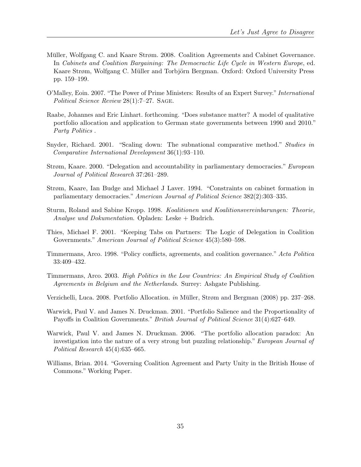- <span id="page-34-10"></span>Müller, Wolfgang C. and Kaare Strøm. 2008. Coalition Agreements and Cabinet Governance. In Cabinets and Coalition Bargaining: The Democractic Life Cycle in Western Europe, ed. Kaare Strøm, Wolfgang C. Müller and Torbjörn Bergman. Oxford: Oxford University Press pp. 159–199.
- <span id="page-34-7"></span>O'Malley, Eoin. 2007. "The Power of Prime Ministers: Results of an Expert Survey." International Political Science Review 28(1):7–27. SAGE.
- <span id="page-34-13"></span>Raabe, Johannes and Eric Linhart. forthcoming. "Does substance matter? A model of qualitative portfolio allocation and application to German state governments between 1990 and 2010." Party Politics .
- <span id="page-34-11"></span>Snyder, Richard. 2001. "Scaling down: The subnational comparative method." Studies in Comparative International Development 36(1):93–110.
- <span id="page-34-8"></span>Strøm, Kaare. 2000. "Delegation and accountability in parliamentary democracies." European Journal of Political Research 37:261–289.
- <span id="page-34-6"></span>Strøm, Kaare, Ian Budge and Michael J Laver. 1994. "Constraints on cabinet formation in parliamentary democracies." American Journal of Political Science 382(2):303–335.
- <span id="page-34-12"></span>Sturm, Roland and Sabine Kropp. 1998. Koalitionen und Koalitionsvereinbarungen: Theorie, Analyse und Dokumentation. Opladen: Leske + Budrich.
- <span id="page-34-2"></span>Thies, Michael F. 2001. "Keeping Tabs on Partners: The Logic of Delegation in Coalition Governments." American Journal of Political Science 45(3):580–598.
- <span id="page-34-9"></span>Timmermans, Arco. 1998. "Policy conflicts, agreements, and coalition governance." Acta Politica 33:409–432.
- <span id="page-34-4"></span>Timmermans, Arco. 2003. High Politics in the Low Countries: An Empirical Study of Coalition Agreements in Belgium and the Netherlands. Surrey: Ashgate Publishing.
- <span id="page-34-3"></span>Verzichelli, Luca. 2008. Portfolio Allocation. in Müller, Strøm and Bergman [\(2008\)](#page-33-0) pp. 237–268.
- <span id="page-34-0"></span>Warwick, Paul V. and James N. Druckman. 2001. "Portfolio Salience and the Proportionality of Payoffs in Coalition Governments." British Journal of Political Science 31(4):627–649.
- <span id="page-34-1"></span>Warwick, Paul V. and James N. Druckman. 2006. "The portfolio allocation paradox: An investigation into the nature of a very strong but puzzling relationship." European Journal of Political Research 45(4):635–665.
- <span id="page-34-5"></span>Williams, Brian. 2014. "Governing Coalition Agreement and Party Unity in the British House of Commons." Working Paper.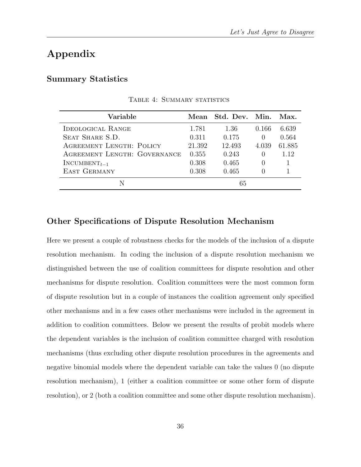# Appendix

#### Summary Statistics

| Variable                     |        | Mean Std. Dev. Min. |          | Max.   |
|------------------------------|--------|---------------------|----------|--------|
| IDEOLOGICAL RANGE            | 1.781  | 1.36                | 0.166    | 6.639  |
| SEAT SHARE S.D.              | 0.311  | 0.175               | $\theta$ | 0.564  |
| AGREEMENT LENGTH: POLICY     | 21.392 | 12.493              | 4.039    | 61.885 |
| AGREEMENT LENGTH: GOVERNANCE | 0.355  | 0.243               | $\theta$ | 1.12   |
| $INCUMBENT_{t-1}$            | 0.308  | 0.465               | $\cup$   |        |
| <b>EAST GERMANY</b>          | 0.308  | 0.465               |          |        |
|                              |        | 65                  |          |        |

TABLE 4: SUMMARY STATISTICS

### Other Specifications of Dispute Resolution Mechanism

Here we present a couple of robustness checks for the models of the inclusion of a dispute resolution mechanism. In coding the inclusion of a dispute resolution mechanism we distinguished between the use of coalition committees for dispute resolution and other mechanisms for dispute resolution. Coalition committees were the most common form of dispute resolution but in a couple of instances the coalition agreement only specified other mechanisms and in a few cases other mechanisms were included in the agreement in addition to coalition committees. Below we present the results of probit models where the dependent variables is the inclusion of coalition committee charged with resolution mechanisms (thus excluding other dispute resolution procedures in the agreements and negative binomial models where the dependent variable can take the values 0 (no dispute resolution mechanism), 1 (either a coalition committee or some other form of dispute resolution), or 2 (both a coalition committee and some other dispute resolution mechanism).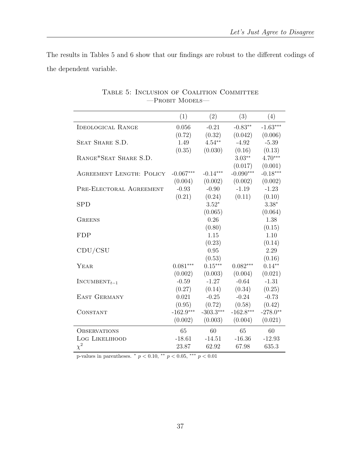<span id="page-36-0"></span>The results in Tables [5](#page-36-0) and [6](#page-37-0) show that our findings are robust to the different codings of the dependent variable.

|                                 | (1)         | (2)         | (3)         | (4)        |
|---------------------------------|-------------|-------------|-------------|------------|
| <b>IDEOLOGICAL RANGE</b>        | 0.056       | $-0.21$     | $-0.83**$   | $-1.63***$ |
|                                 | (0.72)      | (0.32)      | (0.042)     | (0.006)    |
| SEAT SHARE S.D.                 | 1.49        | $4.54**$    | $-4.92$     | $-5.39$    |
|                                 | (0.35)      | (0.030)     | (0.16)      | (0.13)     |
| RANGE*SEAT SHARE S.D.           |             |             | $3.03**$    | $4.70***$  |
|                                 |             |             | (0.017)     | (0.001)    |
| <b>AGREEMENT LENGTH: POLICY</b> | $-0.067***$ | $-0.14***$  | $-0.090***$ | $-0.18***$ |
|                                 | (0.004)     | (0.002)     | (0.002)     | (0.002)    |
| PRE-ELECTORAL AGREEMENT         | $-0.93$     | $-0.90$     | $-1.19$     | $-1.23$    |
|                                 | (0.21)      | (0.24)      | (0.11)      | (0.10)     |
| <b>SPD</b>                      |             | $3.52*$     |             | $3.38*$    |
|                                 |             | (0.065)     |             | (0.064)    |
| <b>GREENS</b>                   |             | 0.26        |             | 1.38       |
|                                 |             | (0.80)      |             | (0.15)     |
| FDP                             |             | 1.15        |             | 1.10       |
|                                 |             | (0.23)      |             | (0.14)     |
| CDU/CSU                         |             | 0.95        |             | 2.29       |
|                                 |             | (0.53)      |             | (0.16)     |
| YEAR                            | $0.081***$  | $0.15***$   | $0.082***$  | $0.14***$  |
|                                 | (0.002)     | (0.003)     | (0.004)     | (0.021)    |
| $INCUMBENT_{t-1}$               | $-0.59$     | $-1.27$     | $-0.64$     | $-1.31$    |
|                                 | (0.27)      | (0.14)      | (0.34)      | (0.25)     |
| <b>EAST GERMANY</b>             | 0.021       | $-0.25$     | $-0.24$     | $-0.73$    |
|                                 | (0.95)      | (0.72)      | (0.58)      | (0.42)     |
| CONSTANT                        | $-162.9***$ | $-303.3***$ | $-162.8***$ | $-278.0**$ |
|                                 | (0.002)     | (0.003)     | (0.004)     | (0.021)    |
| <b>OBSERVATIONS</b>             | 65          | 60          | 65          | 60         |
| LOG LIKELIHOOD                  | $-18.61$    | $-14.51$    | $-16.36$    | $-12.93$   |
| $\chi^2$                        | 23.87       | 62.92       | 67.98       | 635.3      |

Table 5: Inclusion of Coalition Committee  $\hspace{-0.08cm}-\hspace{-0.08cm}$  Probit Models—

p-values in parentheses.  $*$   $p < 0.10$ ,  $**$   $p < 0.05$ ,  $***$   $p < 0.01$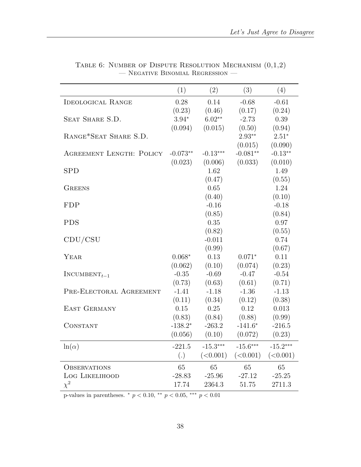<span id="page-37-0"></span>

|                                 | (1)        | (2)        | (3)        | (4)        |
|---------------------------------|------------|------------|------------|------------|
| <b>IDEOLOGICAL RANGE</b>        | 0.28       | 0.14       | $-0.68$    | $-0.61$    |
|                                 | (0.23)     | (0.46)     | (0.17)     | (0.24)     |
| SEAT SHARE S.D.                 | $3.94*$    | $6.02**$   | $-2.73$    | 0.39       |
|                                 | (0.094)    | (0.015)    | (0.50)     | (0.94)     |
| RANGE*SEAT SHARE S.D.           |            |            | $2.93**$   | $2.51*$    |
|                                 |            |            | (0.015)    | (0.090)    |
| <b>AGREEMENT LENGTH: POLICY</b> | $-0.073**$ | $-0.13***$ | $-0.081**$ | $-0.13**$  |
|                                 | (0.023)    | (0.006)    | (0.033)    | (0.010)    |
| <b>SPD</b>                      |            | 1.62       |            | 1.49       |
|                                 |            | (0.47)     |            | (0.55)     |
| <b>GREENS</b>                   |            | 0.65       |            | 1.24       |
|                                 |            | (0.40)     |            | (0.10)     |
| <b>FDP</b>                      |            | $-0.16$    |            | $-0.18$    |
|                                 |            | (0.85)     |            | (0.84)     |
| <b>PDS</b>                      |            | 0.35       |            | 0.97       |
|                                 |            | (0.82)     |            | (0.55)     |
| CDU/CSU                         |            | $-0.011$   |            | 0.74       |
|                                 |            | (0.99)     |            | (0.67)     |
| YEAR                            | $0.068*$   | 0.13       | $0.071*$   | 0.11       |
|                                 | (0.062)    | (0.10)     | (0.074)    | (0.23)     |
| $INCUMBENT_{t-1}$               | $-0.35$    | $-0.69$    | $-0.47$    | $-0.54$    |
|                                 | (0.73)     | (0.63)     | (0.61)     | (0.71)     |
| PRE-ELECTORAL AGREEMENT         | $-1.41$    | $-1.18$    | $-1.36$    | $-1.13$    |
|                                 | (0.11)     | (0.34)     | (0.12)     | (0.38)     |
| EAST GERMANY                    | 0.15       | 0.25       | 0.12       | 0.013      |
|                                 | (0.83)     | (0.84)     | (0.88)     | (0.99)     |
| CONSTANT                        | $-138.2*$  | $-263.2$   | $-141.6*$  | $-216.5$   |
|                                 | (0.056)    | (0.10)     | (0.072)    | (0.23)     |
| $ln(\alpha)$                    | $-221.5$   | $-15.3***$ | $-15.6***$ | $-15.2***$ |
|                                 | (.)        | (<0.001)   | (<0.001)   | (<0.001)   |
| <b>OBSERVATIONS</b>             | 65         | 65         | 65         | 65         |
| LOG LIKELIHOOD                  | $-28.83$   | $-25.96$   | $-27.12$   | $-25.25$   |
| $\chi^2$                        | 17.74      | 2364.3     | 51.75      | 2711.3     |

TABLE 6: NUMBER OF DISPUTE RESOLUTION MECHANISM  $(0,1,2)$  $-$  Negative Binomial Regression  $-$ 

p-values in parentheses.  $*$   $p < 0.10$ ,  $**$   $p < 0.05$ ,  $***$   $p < 0.01$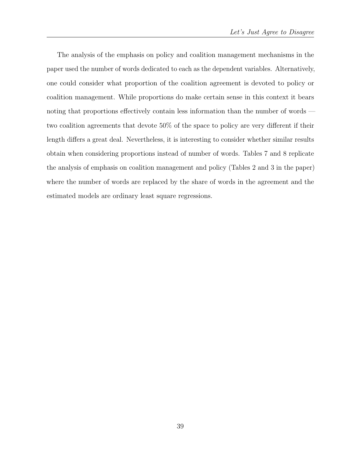The analysis of the emphasis on policy and coalition management mechanisms in the paper used the number of words dedicated to each as the dependent variables. Alternatively, one could consider what proportion of the coalition agreement is devoted to policy or coalition management. While proportions do make certain sense in this context it bears noting that proportions effectively contain less information than the number of words two coalition agreements that devote 50% of the space to policy are very different if their length differs a great deal. Nevertheless, it is interesting to consider whether similar results obtain when considering proportions instead of number of words. Tables [7](#page-39-0) and [8](#page-40-0) replicate the analysis of emphasis on coalition management and policy (Tables [2](#page-22-0) and [3](#page-25-0) in the paper) where the number of words are replaced by the share of words in the agreement and the estimated models are ordinary least square regressions.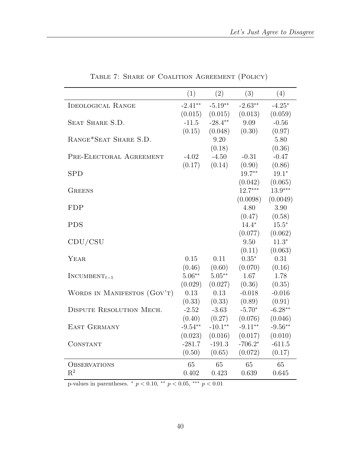<span id="page-39-0"></span>

|                             | (1)       | (2)       | (3)       | (4)       |
|-----------------------------|-----------|-----------|-----------|-----------|
| <b>IDEOLOGICAL RANGE</b>    | $-2.41**$ | $-5.19**$ | $-2.63**$ | $-4.25*$  |
|                             | (0.015)   | (0.015)   | (0.013)   | (0.059)   |
| SEAT SHARE S.D.             | $-11.5$   | $-28.4**$ | 9.09      | $-0.56$   |
|                             | (0.15)    | (0.048)   | (0.30)    | (0.97)    |
| RANGE*SEAT SHARE S.D.       |           | 9.20      |           | 5.80      |
|                             |           | (0.18)    |           | (0.36)    |
| PRE-ELECTORAL AGREEMENT     | $-4.02$   | $-4.50$   | $-0.31$   | $-0.47$   |
|                             | (0.17)    | (0.14)    | (0.90)    | (0.86)    |
| <b>SPD</b>                  |           |           | $19.7**$  | $19.1*$   |
|                             |           |           | (0.042)   | (0.065)   |
| <b>GREENS</b>               |           |           | $12.7***$ | $13.9***$ |
|                             |           |           | (0.0098)  | (0.0049)  |
| <b>FDP</b>                  |           |           | 4.80      | 3.90      |
|                             |           |           | (0.47)    | (0.58)    |
| <b>PDS</b>                  |           |           | $14.4*$   | $15.5*$   |
|                             |           |           | (0.077)   | (0.062)   |
| CDU/CSU                     |           |           | 9.50      | $11.3*$   |
|                             |           |           | (0.11)    | (0.063)   |
| YEAR                        | 0.15      | 0.11      | $0.35*$   | 0.31      |
|                             | (0.46)    | (0.60)    | (0.070)   | (0.16)    |
| $INCUMBENT_{t-1}$           | $5.06**$  | $5.05***$ | 1.67      | 1.78      |
|                             | (0.029)   | (0.027)   | (0.36)    | (0.35)    |
| WORDS IN MANIFESTOS (GOV'T) | 0.13      | 0.13      | $-0.018$  | $-0.016$  |
|                             | (0.33)    | (0.33)    | (0.89)    | (0.91)    |
| DISPUTE RESOLUTION MECH.    | $-2.52$   | $-3.63$   | $-5.70*$  | $-6.28**$ |
|                             | (0.40)    | (0.27)    | (0.076)   | (0.046)   |
| <b>EAST GERMANY</b>         | $-9.54**$ | $-10.1**$ | $-9.11**$ | $-9.56**$ |
|                             | (0.023)   | (0.016)   | (0.017)   | (0.010)   |
| CONSTANT                    | $-281.7$  | $-191.3$  | $-706.2*$ | $-611.5$  |
|                             | (0.50)    | (0.65)    | (0.072)   | (0.17)    |
| <b>OBSERVATIONS</b>         | 65        | 65        | 65        | 65        |
| $R^2$                       | 0.402     | 0.423     | 0.639     | 0.645     |

Table 7: Share of Coalition Agreement (Policy)

p-values in parentheses.  $*$   $p < 0.10$ ,  $**$   $p < 0.05$ ,  $***$   $p < 0.01$